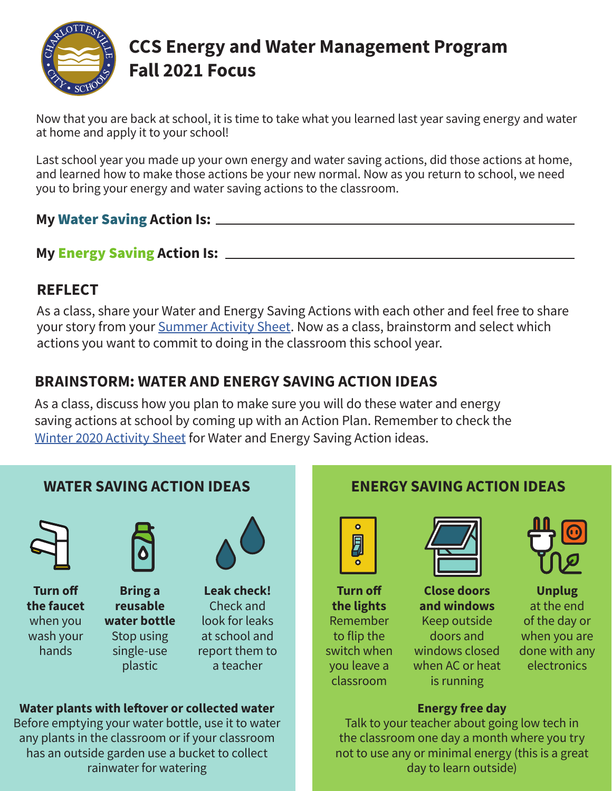

# **CCS Energy and Water Management Program Fall 2021 Focus**

Now that you are back at school, it is time to take what you learned last year saving energy and water at home and apply it to your school!

Last school year you made up your own energy and water saving actions, did those actions at home, and learned how to make those actions be your new normal. Now as you return to school, we need you to bring your energy and water saving actions to the classroom.

#### **My** Water Saving **Action Is:**

#### **My** Energy Saving **Action Is:**

# **REFLECT**

As a class, share your Water and Energy Saving Actions with each other and feel free to share your story from your [Summer Activity Sheet.](https://www.charlottesville.gov/DocumentCenter/View/6148/EWMP-CCS-Summer-2021-Activity-Sheet-PDF?bidId=) Now as a class, brainstorm and select which actions you want to commit to doing in the classroom this school year.

# **BRAINSTORM: WATER AND ENERGY SAVING ACTION IDEAS**

As a class, discuss how you plan to make sure you will do these water and energy saving actions at school by coming up with an Action Plan. Remember to check the [Winter 2020 Activity Sheet](https://www.charlottesville.gov/ImageRepository/Document?documentId=4761) for Water and Energy Saving Action ideas.



#### **Water plants with leftover or collected water**

Before emptying your water bottle, use it to water any plants in the classroom or if your classroom has an outside garden use a bucket to collect rainwater for watering



**Turn off the lights** Remember to flip the switch when you leave a classroom



**Close doors and windows** Keep outside doors and windows closed when AC or heat is running



**Unplug** at the end of the day or when you are done with any electronics

#### **Energy free day**

Talk to your teacher about going low tech in the classroom one day a month where you try not to use any or minimal energy (this is a great day to learn outside)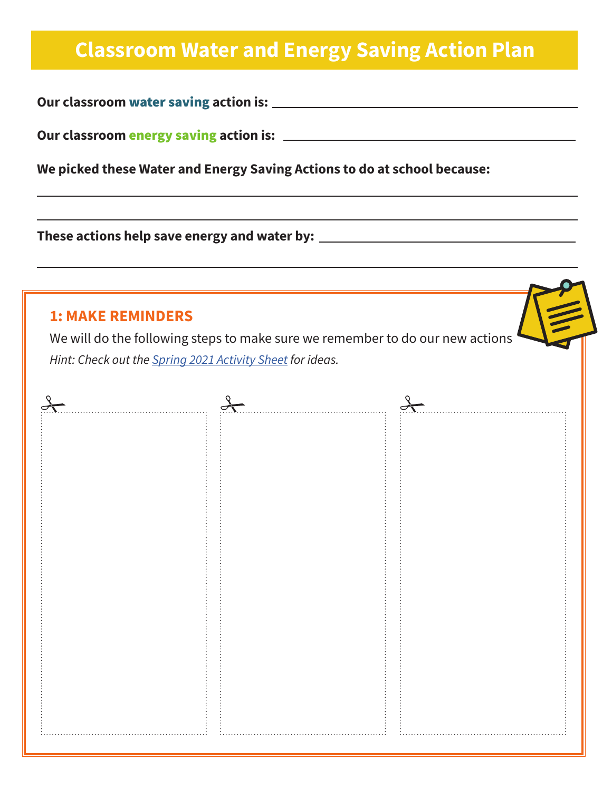# **Classroom Water and Energy Saving Action Plan**

**Our classroom** water saving **action is:**

**Our classroom** energy saving **action is:**

**We picked these Water and Energy Saving Actions to do at school because:**

**These actions help save energy and water by:**

#### **1: MAKE REMINDERS**

We will do the following steps to make sure we remember to do our new actions *Hint: Check out the [Spring 2021 Activity Sheet](https://www.charlottesville.gov/ImageRepository/Document?documentId=5361) for ideas.*

| O | ⊂                    |  |
|---|----------------------|--|
|   | .                    |  |
|   |                      |  |
|   |                      |  |
|   |                      |  |
|   |                      |  |
|   |                      |  |
|   |                      |  |
|   |                      |  |
|   |                      |  |
|   |                      |  |
|   |                      |  |
|   |                      |  |
|   |                      |  |
|   |                      |  |
|   |                      |  |
|   |                      |  |
|   |                      |  |
|   |                      |  |
|   |                      |  |
|   |                      |  |
|   |                      |  |
|   |                      |  |
|   |                      |  |
|   |                      |  |
|   |                      |  |
|   |                      |  |
|   |                      |  |
|   | $\cdots\cdots\cdots$ |  |